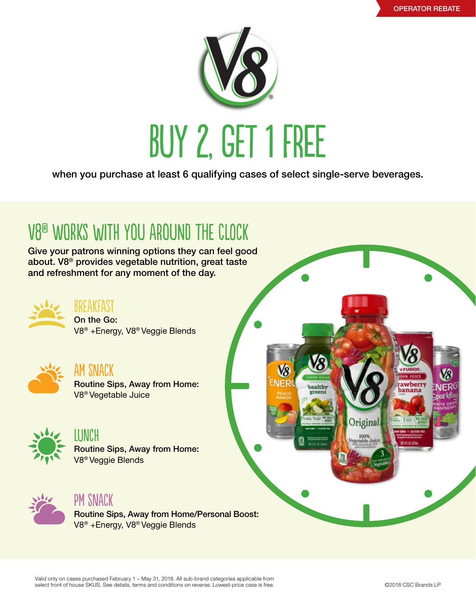

when you purchase at least 6 qualifying cases of select single-serve beverages.

## V8® works with you around the clock

Give your patrons winning options they can feel good about. V8® provides vegetable nutrition, great taste and refreshment for any moment of the day.



Breakfast On the Go: V8® +Energy, V8® Veggie Blends



AM Snack Routine Sips, Away from Home: V8® Vegetable Juice



LUNCH Routine Sips, Away from Home: V8® Veggie Blends



### PM Snack

Routine Sips, Away from Home/Personal Boost: V8® +Energy, V8® Veggie Blends